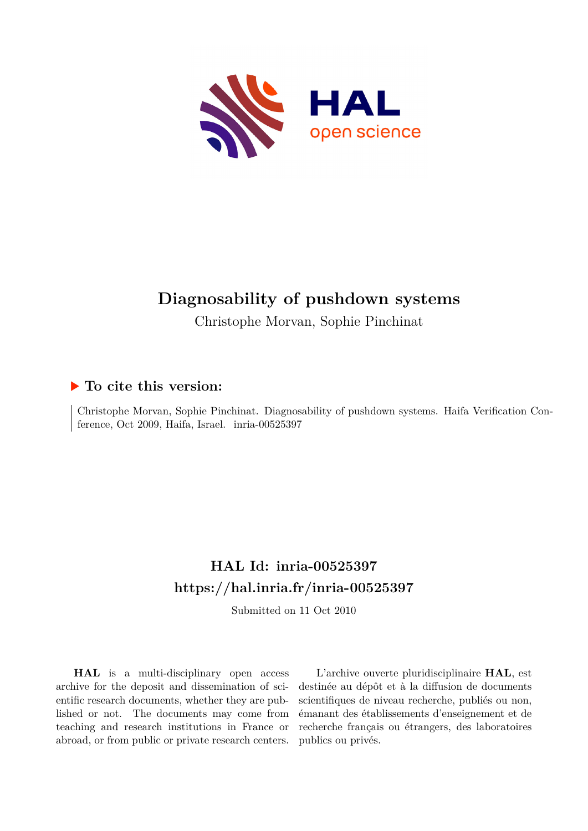

# **Diagnosability of pushdown systems**

Christophe Morvan, Sophie Pinchinat

### **To cite this version:**

Christophe Morvan, Sophie Pinchinat. Diagnosability of pushdown systems. Haifa Verification Conference, Oct 2009, Haifa, Israel. inria-00525397

## **HAL Id: inria-00525397 <https://hal.inria.fr/inria-00525397>**

Submitted on 11 Oct 2010

**HAL** is a multi-disciplinary open access archive for the deposit and dissemination of scientific research documents, whether they are published or not. The documents may come from teaching and research institutions in France or abroad, or from public or private research centers.

L'archive ouverte pluridisciplinaire **HAL**, est destinée au dépôt et à la diffusion de documents scientifiques de niveau recherche, publiés ou non, émanant des établissements d'enseignement et de recherche français ou étrangers, des laboratoires publics ou privés.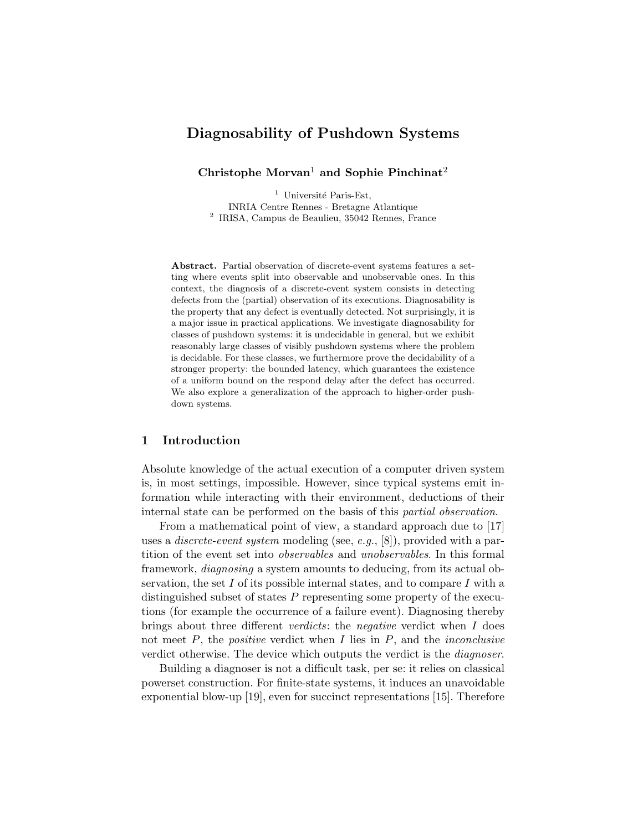### Diagnosability of Pushdown Systems

Christophe Morvan<sup>1</sup> and Sophie Pinchinat<sup>2</sup>

<sup>1</sup> Université Paris-Est, INRIA Centre Rennes - Bretagne Atlantique 2 IRISA, Campus de Beaulieu, 35042 Rennes, France

Abstract. Partial observation of discrete-event systems features a setting where events split into observable and unobservable ones. In this context, the diagnosis of a discrete-event system consists in detecting defects from the (partial) observation of its executions. Diagnosability is the property that any defect is eventually detected. Not surprisingly, it is a major issue in practical applications. We investigate diagnosability for classes of pushdown systems: it is undecidable in general, but we exhibit reasonably large classes of visibly pushdown systems where the problem is decidable. For these classes, we furthermore prove the decidability of a stronger property: the bounded latency, which guarantees the existence of a uniform bound on the respond delay after the defect has occurred. We also explore a generalization of the approach to higher-order pushdown systems.

#### 1 Introduction

Absolute knowledge of the actual execution of a computer driven system is, in most settings, impossible. However, since typical systems emit information while interacting with their environment, deductions of their internal state can be performed on the basis of this partial observation.

From a mathematical point of view, a standard approach due to [17] uses a *discrete-event system* modeling (see, e.g., [8]), provided with a partition of the event set into observables and unobservables. In this formal framework, diagnosing a system amounts to deducing, from its actual observation, the set  $I$  of its possible internal states, and to compare  $I$  with a distinguished subset of states P representing some property of the executions (for example the occurrence of a failure event). Diagnosing thereby brings about three different verdicts: the negative verdict when I does not meet  $P$ , the *positive* verdict when  $I$  lies in  $P$ , and the *inconclusive* verdict otherwise. The device which outputs the verdict is the diagnoser.

Building a diagnoser is not a difficult task, per se: it relies on classical powerset construction. For finite-state systems, it induces an unavoidable exponential blow-up [19], even for succinct representations [15]. Therefore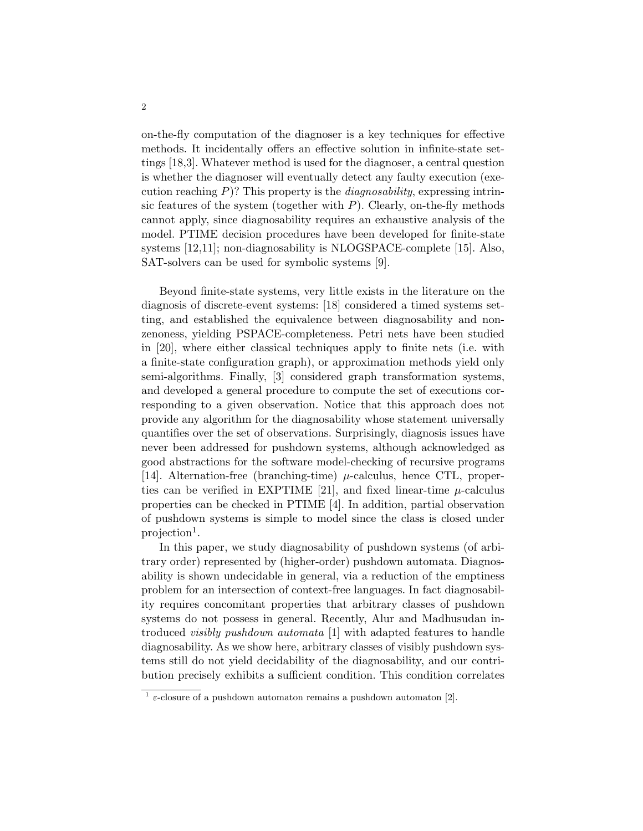on-the-fly computation of the diagnoser is a key techniques for effective methods. It incidentally offers an effective solution in infinite-state settings [18,3]. Whatever method is used for the diagnoser, a central question is whether the diagnoser will eventually detect any faulty execution (execution reaching  $P$ ? This property is the *diagnosability*, expressing intrinsic features of the system (together with  $P$ ). Clearly, on-the-fly methods cannot apply, since diagnosability requires an exhaustive analysis of the model. PTIME decision procedures have been developed for finite-state systems [12,11]; non-diagnosability is NLOGSPACE-complete [15]. Also, SAT-solvers can be used for symbolic systems [9].

Beyond finite-state systems, very little exists in the literature on the diagnosis of discrete-event systems: [18] considered a timed systems setting, and established the equivalence between diagnosability and nonzenoness, yielding PSPACE-completeness. Petri nets have been studied in [20], where either classical techniques apply to finite nets (i.e. with a finite-state configuration graph), or approximation methods yield only semi-algorithms. Finally, [3] considered graph transformation systems, and developed a general procedure to compute the set of executions corresponding to a given observation. Notice that this approach does not provide any algorithm for the diagnosability whose statement universally quantifies over the set of observations. Surprisingly, diagnosis issues have never been addressed for pushdown systems, although acknowledged as good abstractions for the software model-checking of recursive programs [14]. Alternation-free (branching-time)  $\mu$ -calculus, hence CTL, properties can be verified in EXPTIME [21], and fixed linear-time  $\mu$ -calculus properties can be checked in PTIME [4]. In addition, partial observation of pushdown systems is simple to model since the class is closed under  $projection<sup>1</sup>$ .

In this paper, we study diagnosability of pushdown systems (of arbitrary order) represented by (higher-order) pushdown automata. Diagnosability is shown undecidable in general, via a reduction of the emptiness problem for an intersection of context-free languages. In fact diagnosability requires concomitant properties that arbitrary classes of pushdown systems do not possess in general. Recently, Alur and Madhusudan introduced visibly pushdown automata [1] with adapted features to handle diagnosability. As we show here, arbitrary classes of visibly pushdown systems still do not yield decidability of the diagnosability, and our contribution precisely exhibits a sufficient condition. This condition correlates

<sup>&</sup>lt;sup>1</sup>  $\varepsilon$ -closure of a pushdown automaton remains a pushdown automaton [2].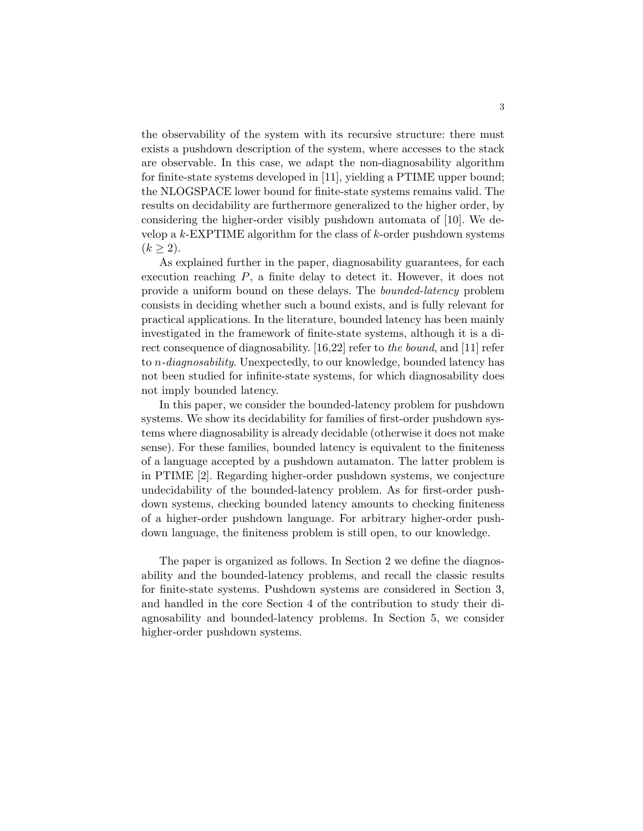the observability of the system with its recursive structure: there must exists a pushdown description of the system, where accesses to the stack are observable. In this case, we adapt the non-diagnosability algorithm for finite-state systems developed in [11], yielding a PTIME upper bound; the NLOGSPACE lower bound for finite-state systems remains valid. The results on decidability are furthermore generalized to the higher order, by considering the higher-order visibly pushdown automata of [10]. We develop a  $k$ -EXPTIME algorithm for the class of  $k$ -order pushdown systems  $(k \geq 2)$ .

As explained further in the paper, diagnosability guarantees, for each execution reaching  $P$ , a finite delay to detect it. However, it does not provide a uniform bound on these delays. The bounded-latency problem consists in deciding whether such a bound exists, and is fully relevant for practical applications. In the literature, bounded latency has been mainly investigated in the framework of finite-state systems, although it is a direct consequence of diagnosability. [16,22] refer to the bound, and [11] refer to n-diagnosability. Unexpectedly, to our knowledge, bounded latency has not been studied for infinite-state systems, for which diagnosability does not imply bounded latency.

In this paper, we consider the bounded-latency problem for pushdown systems. We show its decidability for families of first-order pushdown systems where diagnosability is already decidable (otherwise it does not make sense). For these families, bounded latency is equivalent to the finiteness of a language accepted by a pushdown autamaton. The latter problem is in PTIME [2]. Regarding higher-order pushdown systems, we conjecture undecidability of the bounded-latency problem. As for first-order pushdown systems, checking bounded latency amounts to checking finiteness of a higher-order pushdown language. For arbitrary higher-order pushdown language, the finiteness problem is still open, to our knowledge.

The paper is organized as follows. In Section 2 we define the diagnosability and the bounded-latency problems, and recall the classic results for finite-state systems. Pushdown systems are considered in Section 3, and handled in the core Section 4 of the contribution to study their diagnosability and bounded-latency problems. In Section 5, we consider higher-order pushdown systems.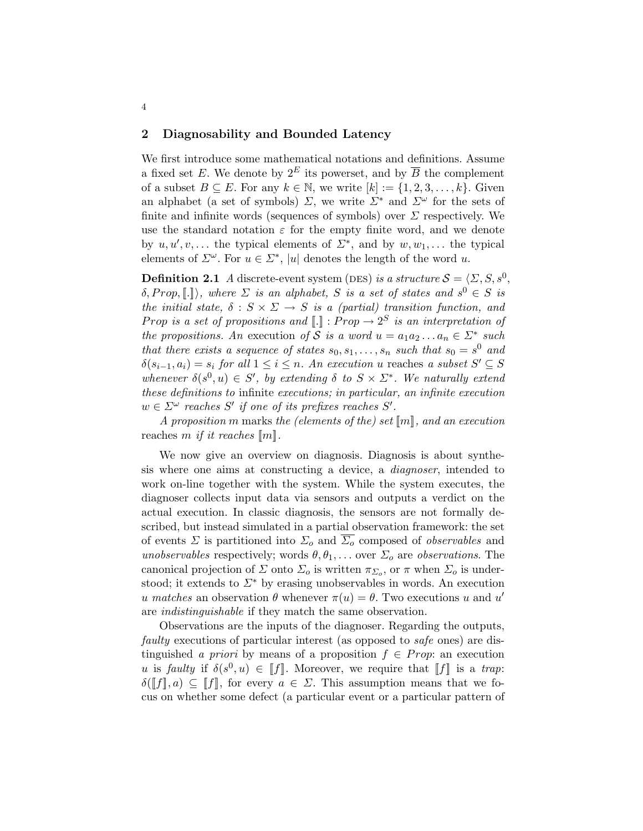#### 2 Diagnosability and Bounded Latency

We first introduce some mathematical notations and definitions. Assume a fixed set E. We denote by  $2^E$  its powerset, and by  $\overline{B}$  the complement of a subset  $B \subseteq E$ . For any  $k \in \mathbb{N}$ , we write  $[k] := \{1, 2, 3, \ldots, k\}$ . Given an alphabet (a set of symbols)  $\Sigma$ , we write  $\Sigma^*$  and  $\Sigma^{\omega}$  for the sets of finite and infinite words (sequences of symbols) over  $\Sigma$  respectively. We use the standard notation  $\varepsilon$  for the empty finite word, and we denote by  $u, u', v, \ldots$  the typical elements of  $\Sigma^*$ , and by  $w, w_1, \ldots$  the typical elements of  $\Sigma^{\omega}$ . For  $u \in \Sigma^*$ , |u| denotes the length of the word u.

**Definition 2.1** A discrete-event system (DES) is a structure  $S = \langle \Sigma, S, s^0, \rangle$  $\delta$ , Prop,  $[\cdot]$ ), where  $\Sigma$  is an alphabet, S is a set of states and  $s^0 \in S$  is the initial state,  $\delta : S \times \Sigma \rightarrow S$  is a (partial) transition function, and Prop is a set of propositions and  $[\![.]\!] : Prop \rightarrow 2^S$  is an interpretation of the propositions. An execution of S is a word  $u = a_1 a_2 ... a_n \in \Sigma^*$  such that there exists a sequence of states  $s_0, s_1, \ldots, s_n$  such that  $s_0 = s^0$  and  $\delta(s_{i-1}, a_i) = s_i$  for all  $1 \leq i \leq n$ . An execution u reaches a subset  $S' \subseteq S$ whenever  $\delta(s^0, u) \in S'$ , by extending  $\delta$  to  $S \times \Sigma^*$ . We naturally extend these definitions to infinite executions; in particular, an infinite execution  $w \in \Sigma^{\omega}$  reaches S' if one of its prefixes reaches S'.

A proposition m marks the (elements of the) set  $\llbracket m \rrbracket$ , and an execution reaches m if it reaches  $\llbracket m \rrbracket$ .

We now give an overview on diagnosis. Diagnosis is about synthesis where one aims at constructing a device, a diagnoser, intended to work on-line together with the system. While the system executes, the diagnoser collects input data via sensors and outputs a verdict on the actual execution. In classic diagnosis, the sensors are not formally described, but instead simulated in a partial observation framework: the set of events  $\Sigma$  is partitioned into  $\Sigma_o$  and  $\overline{\Sigma_o}$  composed of *observables* and unobservables respectively; words  $\theta$ ,  $\theta$ <sub>1</sub>, ... over  $\Sigma$ <sub>o</sub> are *observations*. The canonical projection of  $\Sigma$  onto  $\Sigma_o$  is written  $\pi_{\Sigma_o}$ , or  $\pi$  when  $\Sigma_o$  is understood; it extends to  $\Sigma^*$  by erasing unobservables in words. An execution u matches an observation  $\theta$  whenever  $\pi(u) = \theta$ . Two executions u and u' are indistinguishable if they match the same observation.

Observations are the inputs of the diagnoser. Regarding the outputs, faulty executions of particular interest (as opposed to *safe* ones) are distinguished a priori by means of a proposition  $f \in Prop$ : an execution u is faulty if  $\delta(s^0, u) \in [[f]]$ . Moreover, we require that  $[[f]]$  is a trap:  $\delta([f], a) \subseteq [f]$ , for every  $a \in \Sigma$ . This assumption means that we focus on whether some defect (a particular event or a particular pattern of

4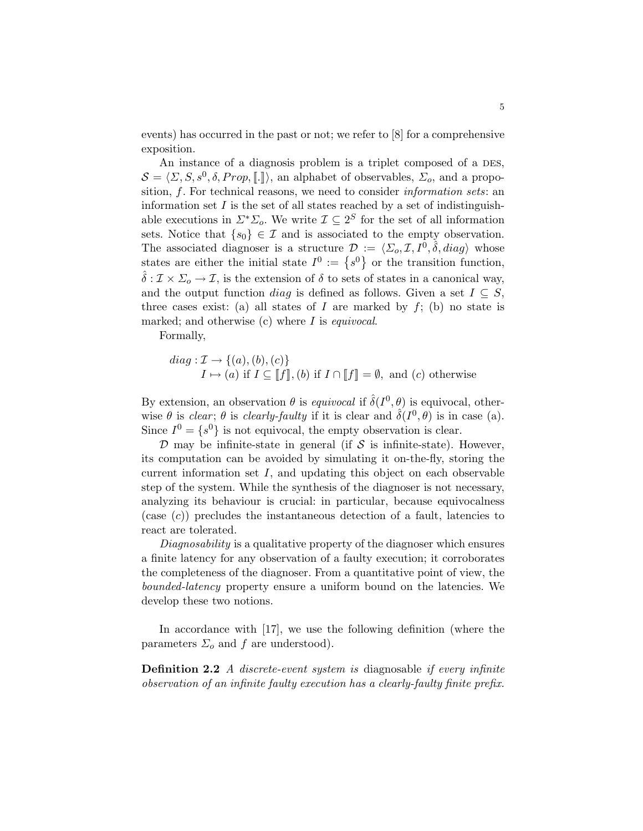events) has occurred in the past or not; we refer to [8] for a comprehensive exposition.

An instance of a diagnosis problem is a triplet composed of a DES,  $S = \langle \Sigma, S, s^0, \delta, Prop, [\![.] \!] \rangle$ , an alphabet of observables,  $\Sigma_o$ , and a proposition, f. For technical reasons, we need to consider *information sets*: an information set  $I$  is the set of all states reached by a set of indistinguishable executions in  $\Sigma^* \Sigma_o$ . We write  $\mathcal{I} \subseteq 2^S$  for the set of all information sets. Notice that  $\{s_0\} \in \mathcal{I}$  and is associated to the empty observation. The associated diagnoser is a structure  $\mathcal{D} := \langle \Sigma_o, \mathcal{I}, I^0, \hat{\delta}, diag \rangle$  whose states are either the initial state  $I^0 := \{s^0\}$  or the transition function,  $\hat{\delta}: \mathcal{I} \times \Sigma_o \to \mathcal{I}$ , is the extension of  $\delta$  to sets of states in a canonical way, and the output function diag is defined as follows. Given a set  $I \subseteq S$ , three cases exist: (a) all states of I are marked by  $f$ ; (b) no state is marked; and otherwise  $(c)$  where I is *equivocal*.

Formally,

diag: 
$$
\mathcal{I} \to \{(a), (b), (c)\}
$$
  
\n $I \mapsto (a)$  if  $I \subseteq [[f]], (b)$  if  $I \cap [[f]] = \emptyset$ , and (c) otherwise

By extension, an observation  $\theta$  is *equivocal* if  $\hat{\delta}(I^0, \theta)$  is equivocal, otherwise  $\theta$  is clear;  $\theta$  is clearly-faulty if it is clear and  $\hat{\delta}(I^0, \theta)$  is in case (a). Since  $I^0 = \{s^0\}$  is not equivocal, the empty observation is clear.

 $D$  may be infinite-state in general (if  $S$  is infinite-state). However, its computation can be avoided by simulating it on-the-fly, storing the current information set  $I$ , and updating this object on each observable step of the system. While the synthesis of the diagnoser is not necessary, analyzing its behaviour is crucial: in particular, because equivocalness (case  $(c)$ ) precludes the instantaneous detection of a fault, latencies to react are tolerated.

Diagnosability is a qualitative property of the diagnoser which ensures a finite latency for any observation of a faulty execution; it corroborates the completeness of the diagnoser. From a quantitative point of view, the bounded-latency property ensure a uniform bound on the latencies. We develop these two notions.

In accordance with [17], we use the following definition (where the parameters  $\Sigma_o$  and f are understood).

**Definition 2.2** A discrete-event system is diagnosable if every infinite observation of an infinite faulty execution has a clearly-faulty finite prefix.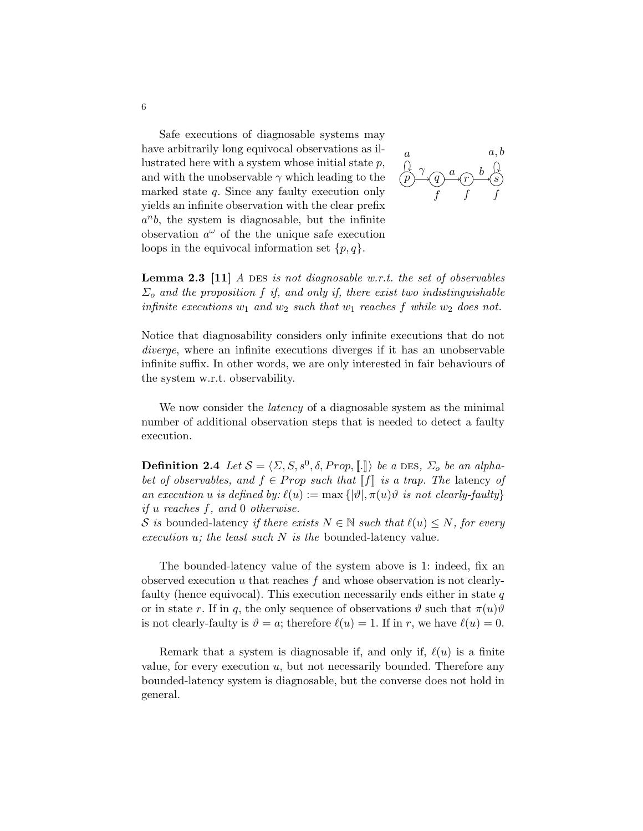Safe executions of diagnosable systems may have arbitrarily long equivocal observations as illustrated here with a system whose initial state  $p$ , and with the unobservable  $\gamma$  which leading to the marked state q. Since any faulty execution only yields an infinite observation with the clear prefix  $a^n b$ , the system is diagnosable, but the infinite observation  $a^{\omega}$  of the the unique safe execution loops in the equivocal information set  $\{p,q\}.$ 



**Lemma 2.3** [11] A DES is not diagnosable w.r.t. the set of observables  $\Sigma_o$  and the proposition f if, and only if, there exist two indistinguishable infinite executions  $w_1$  and  $w_2$  such that  $w_1$  reaches f while  $w_2$  does not.

Notice that diagnosability considers only infinite executions that do not diverge, where an infinite executions diverges if it has an unobservable infinite suffix. In other words, we are only interested in fair behaviours of the system w.r.t. observability.

We now consider the *latency* of a diagnosable system as the minimal number of additional observation steps that is needed to detect a faulty execution.

**Definition 2.4** Let  $S = \langle \Sigma, S, s^0, \delta, Prop, [\![.]\!] \rangle$  be a DES,  $\Sigma_o$  be an alphabet of observables, and  $f \in Prop$  such that  $\llbracket f \rrbracket$  is a trap. The latency of an execution u is defined by:  $\ell(u) := \max\{|\vartheta|, \pi(u)\vartheta$  is not clearly-faulty} if u reaches f, and 0 otherwise.

S is bounded-latency if there exists  $N \in \mathbb{N}$  such that  $\ell(u) \leq N$ , for every execution  $u$ ; the least such  $N$  is the bounded-latency value.

The bounded-latency value of the system above is 1: indeed, fix an observed execution  $u$  that reaches  $f$  and whose observation is not clearlyfaulty (hence equivocal). This execution necessarily ends either in state  $q$ or in state r. If in q, the only sequence of observations  $\vartheta$  such that  $\pi(u)\vartheta$ is not clearly-faulty is  $\vartheta = a$ ; therefore  $\ell(u) = 1$ . If in r, we have  $\ell(u) = 0$ .

Remark that a system is diagnosable if, and only if,  $\ell(u)$  is a finite value, for every execution  $u$ , but not necessarily bounded. Therefore any bounded-latency system is diagnosable, but the converse does not hold in general.

6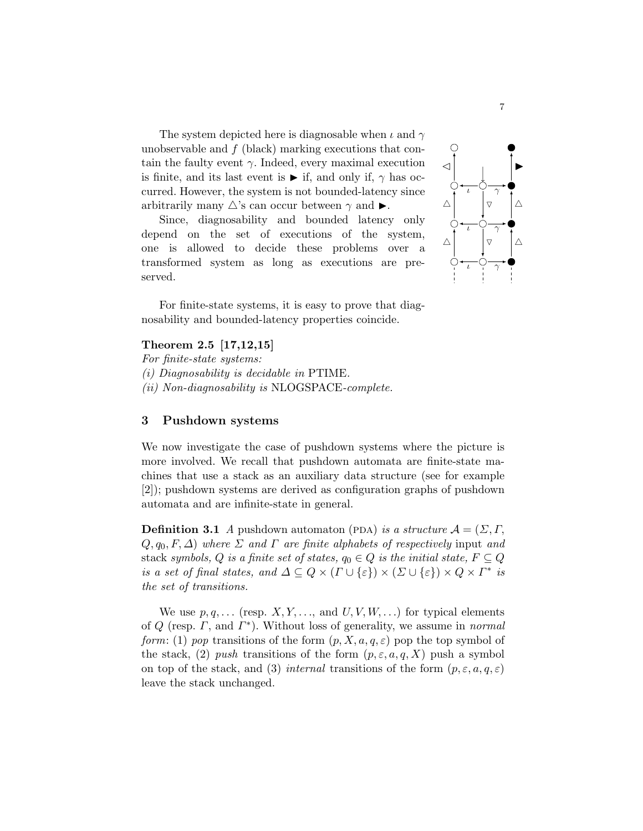The system depicted here is diagnosable when  $\iota$  and  $\gamma$ unobservable and  $f$  (black) marking executions that contain the faulty event  $\gamma$ . Indeed, every maximal execution is finite, and its last event is  $\blacktriangleright$  if, and only if,  $\gamma$  has occurred. However, the system is not bounded-latency since arbitrarily many  $\triangle$ 's can occur between  $\gamma$  and  $\blacktriangleright$ .

Since, diagnosability and bounded latency only depend on the set of executions of the system, one is allowed to decide these problems over a transformed system as long as executions are preserved.



For finite-state systems, it is easy to prove that diagnosability and bounded-latency properties coincide.

#### Theorem 2.5 [17,12,15]

For finite-state systems: (i) Diagnosability is decidable in PTIME. (ii) Non-diagnosability is NLOGSPACE-complete.

#### 3 Pushdown systems

We now investigate the case of pushdown systems where the picture is more involved. We recall that pushdown automata are finite-state machines that use a stack as an auxiliary data structure (see for example [2]); pushdown systems are derived as configuration graphs of pushdown automata and are infinite-state in general.

**Definition 3.1** A pushdown automaton (PDA) is a structure  $A = (\Sigma, \Gamma, \Sigma)$  $Q, q_0, F, \Delta$ ) where  $\Sigma$  and  $\Gamma$  are finite alphabets of respectively input and stack symbols, Q is a finite set of states,  $q_0 \in Q$  is the initial state,  $F \subseteq Q$ is a set of final states, and  $\Delta \subseteq Q \times (\Gamma \cup \{\varepsilon\}) \times (\Sigma \cup \{\varepsilon\}) \times Q \times \Gamma^*$  is the set of transitions.

We use  $p, q, \ldots$  (resp.  $X, Y, \ldots$ , and  $U, V, W, \ldots$ ) for typical elements of Q (resp.  $\Gamma$ , and  $\Gamma^*$ ). Without loss of generality, we assume in *normal* form: (1) pop transitions of the form  $(p, X, a, q, \varepsilon)$  pop the top symbol of the stack, (2) push transitions of the form  $(p, \varepsilon, a, q, X)$  push a symbol on top of the stack, and (3) internal transitions of the form  $(p, \varepsilon, a, q, \varepsilon)$ leave the stack unchanged.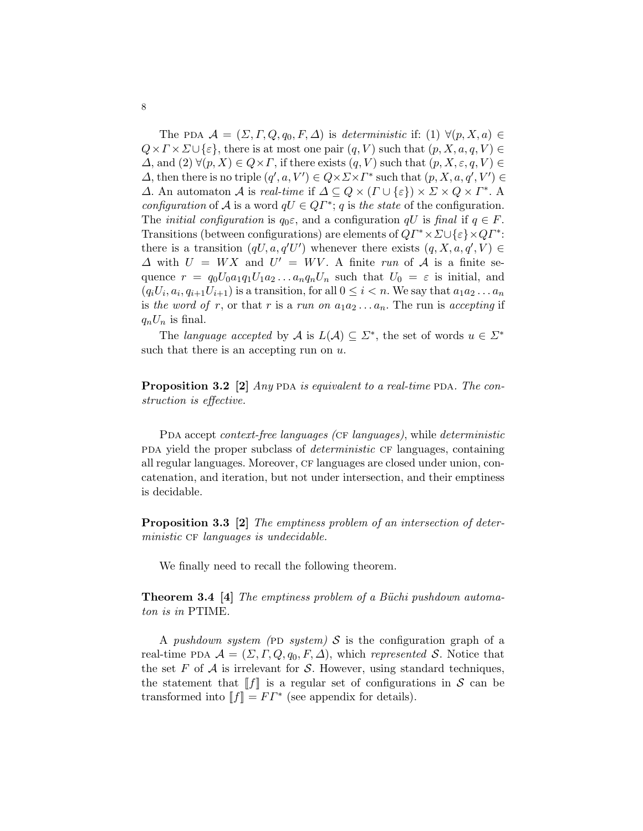The PDA  $\mathcal{A} = (\Sigma, \Gamma, Q, q_0, F, \Delta)$  is deterministic if: (1)  $\forall (p, X, a) \in$  $Q \times \Gamma \times \Sigma \cup \{\varepsilon\}$ , there is at most one pair  $(q, V)$  such that  $(p, X, a, q, V) \in$  $\Delta$ , and (2)  $\forall (p, X) \in Q \times \Gamma$ , if there exists  $(q, V)$  such that  $(p, X, \varepsilon, q, V) \in$  $\Delta$ , then there is no triple  $(q', a, V') \in Q \times \Sigma \times \Gamma^*$  such that  $(p, X, a, q', V') \in$  $\Delta$ . An automaton  $\mathcal A$  is real-time if  $\Delta \subseteq Q \times (\Gamma \cup \{\varepsilon\}) \times \Sigma \times Q \times \Gamma^*$ . A configuration of A is a word  $qU \in Q\Gamma^*$ ; q is the state of the configuration. The *initial configuration* is  $q_0 \varepsilon$ , and a configuration qU is final if  $q \in F$ . Transitions (between configurations) are elements of  $Q\Gamma^* \times \Sigma \cup \{\varepsilon\} \times Q\Gamma^*$ : there is a transition  $(qU, a, q'U')$  whenever there exists  $(q, X, a, q', V) \in$  $\Delta$  with  $U = W X$  and  $U' = W V$ . A finite run of  $\mathcal A$  is a finite sequence  $r = q_0U_0a_1q_1U_1a_2...a_nq_nU_n$  such that  $U_0 = \varepsilon$  is initial, and  $(q_i U_i, a_i, q_{i+1} U_{i+1})$  is a transition, for all  $0 \leq i < n$ . We say that  $a_1 a_2 \ldots a_n$ is the word of r, or that r is a run on  $a_1a_2...a_n$ . The run is accepting if  $q_nU_n$  is final.

The language accepted by A is  $L(\mathcal{A}) \subseteq \mathcal{L}^*$ , the set of words  $u \in \mathcal{L}^*$ such that there is an accepting run on  $u$ .

**Proposition 3.2** [2] Any PDA is equivalent to a real-time PDA. The construction is effective.

PDA accept *context-free languages* (CF *languages*), while *deterministic* pda yield the proper subclass of *deterministic* CF languages, containing all regular languages. Moreover, CF languages are closed under union, concatenation, and iteration, but not under intersection, and their emptiness is decidable.

Proposition 3.3 [2] The emptiness problem of an intersection of deterministic CF languages is undecidable.

We finally need to recall the following theorem.

**Theorem 3.4 [4]** The emptiness problem of a Büchi pushdown automaton is in PTIME.

A pushdown system (PD system)  $S$  is the configuration graph of a real-time PDA  $\mathcal{A} = (\Sigma, \Gamma, Q, q_0, F, \Delta)$ , which represented S. Notice that the set F of A is irrelevant for S. However, using standard techniques, the statement that  $\llbracket f \rrbracket$  is a regular set of configurations in S can be transformed into  $[[f]] = FT^*$  (see appendix for details).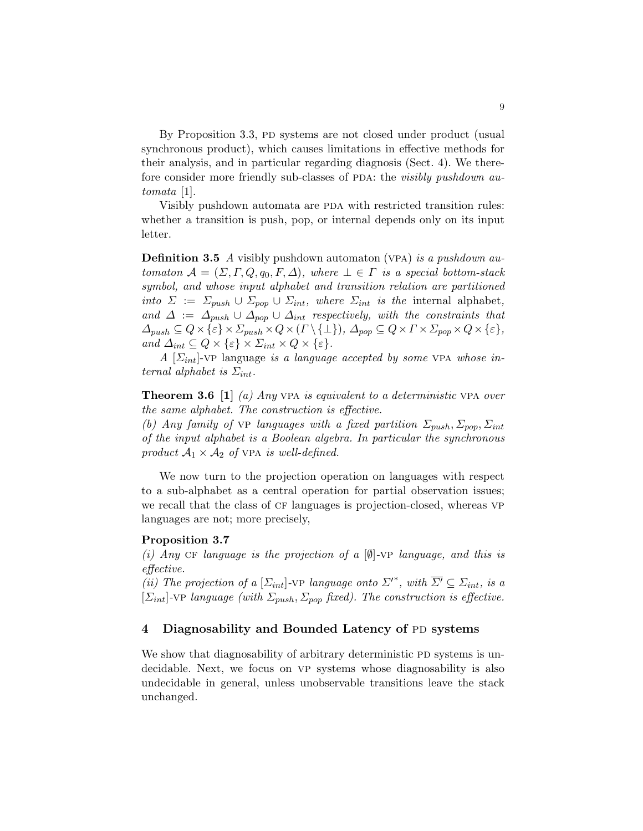By Proposition 3.3, PD systems are not closed under product (usual synchronous product), which causes limitations in effective methods for their analysis, and in particular regarding diagnosis (Sect. 4). We therefore consider more friendly sub-classes of PDA: the *visibly pushdown au*tomata [1].

Visibly pushdown automata are PDA with restricted transition rules: whether a transition is push, pop, or internal depends only on its input letter.

**Definition 3.5** A visibly pushdown automaton (VPA) is a pushdown automaton  $\mathcal{A} = (\Sigma, \Gamma, Q, q_0, F, \Delta)$ , where  $\bot \in \Gamma$  is a special bottom-stack symbol, and whose input alphabet and transition relation are partitioned into  $\Sigma := \Sigma_{push} \cup \Sigma_{pop} \cup \Sigma_{int}$ , where  $\Sigma_{int}$  is the internal alphabet, and  $\Delta := \Delta_{push} \cup \Delta_{pop} \cup \Delta_{int}$  respectively, with the constraints that  $\Delta_{push} \subseteq Q \times \{\varepsilon\} \times \Sigma_{push} \times Q \times (\Gamma \setminus \{\bot\}), \ \Delta_{pop} \subseteq Q \times \Gamma \times \Sigma_{pop} \times Q \times \{\varepsilon\},\$ and  $\Delta_{int} \subseteq Q \times \{\varepsilon\} \times \Sigma_{int} \times Q \times \{\varepsilon\}.$ 

A  $[\Sigma_{int}]$ -VP language is a language accepted by some VPA whose internal alphabet is  $\Sigma_{int}$ .

**Theorem 3.6** [1] (a) Any VPA is equivalent to a deterministic VPA over the same alphabet. The construction is effective.

(b) Any family of  $VP$  languages with a fixed partition  $\Sigma_{push}, \Sigma_{pop}, \Sigma_{int}$ of the input alphabet is a Boolean algebra. In particular the synchronous product  $\mathcal{A}_1 \times \mathcal{A}_2$  of VPA is well-defined.

We now turn to the projection operation on languages with respect to a sub-alphabet as a central operation for partial observation issues; we recall that the class of CF languages is projection-closed, whereas VP languages are not; more precisely,

#### Proposition 3.7

(i) Any CF language is the projection of a  $[\emptyset]$ -VP language, and this is effective.

(ii) The projection of a  $[\Sigma_{int}]$ -vp language onto  $\Sigma'^*$ , with  $\overline{\Sigma'} \subseteq \Sigma_{int}$ , is a  $[\Sigma_{int}]$ -vp language (with  $\Sigma_{push}$ ,  $\Sigma_{pop}$  fixed). The construction is effective.

#### 4 Diagnosability and Bounded Latency of PD systems

We show that diagnosability of arbitrary deterministic PD systems is undecidable. Next, we focus on vp systems whose diagnosability is also undecidable in general, unless unobservable transitions leave the stack unchanged.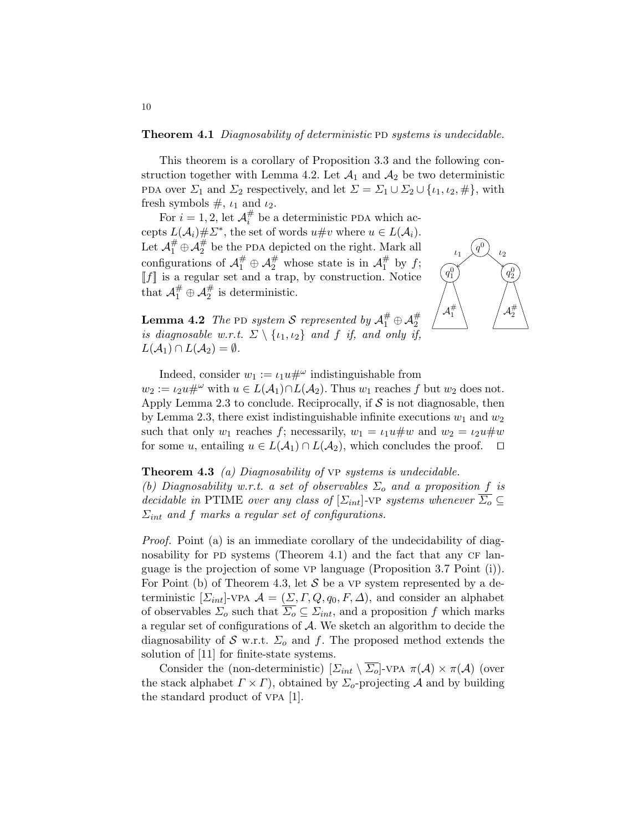**Theorem 4.1** Diagnosability of deterministic PD systems is undecidable.

This theorem is a corollary of Proposition 3.3 and the following construction together with Lemma 4.2. Let  $\mathcal{A}_1$  and  $\mathcal{A}_2$  be two deterministic PDA over  $\Sigma_1$  and  $\Sigma_2$  respectively, and let  $\Sigma = \Sigma_1 \cup \Sigma_2 \cup \{\iota_1, \iota_2, \# \}$ , with fresh symbols  $\#$ ,  $\iota_1$  and  $\iota_2$ .

For  $i=1,2,$  let  $\mathcal{A}_i^{\#}$  $\frac{\pi}{i}$  be a deterministic PDA which accepts  $L(A_i) \# \Sigma^*$ , the set of words  $u \# v$  where  $u \in L(A_i)$ . Let  ${\cal A}_1^\#\oplus{\cal A}_2^\#$  be the PDA depicted on the right. Mark all configurations of  $\mathcal{A}_1^{\#} \oplus \mathcal{A}_2^{\#}$  whose state is in  $\mathcal{A}_1^{\#}$  $j_1^{\#}$  by f;  $\llbracket f \rrbracket$  is a regular set and a trap, by construction. Notice that  $\mathcal{A}_1^{\#} \oplus \mathcal{A}_2^{\#}$  is deterministic.



 ${\bf Lemma}$  4.2 The PD system  ${\cal S}$  represented by  ${\cal A}^\#_1\oplus{\cal A}^\#_2$ is diagnosable w.r.t.  $\Sigma \setminus {\iota_1, \iota_2}$  and f if, and only if,  $L(\mathcal{A}_1) \cap L(\mathcal{A}_2) = \emptyset.$ 

Indeed, consider  $w_1 := \iota_1 u \#^{\omega}$  indistinguishable from

 $w_2 := \iota_2 u \#^{\omega}$  with  $u \in L(\mathcal{A}_1) \cap L(\mathcal{A}_2)$ . Thus  $w_1$  reaches f but  $w_2$  does not. Apply Lemma 2.3 to conclude. Reciprocally, if  $S$  is not diagnosable, then by Lemma 2.3, there exist indistinguishable infinite executions  $w_1$  and  $w_2$ such that only  $w_1$  reaches f; necessarily,  $w_1 = \iota_1 u \# w$  and  $w_2 = \iota_2 u \# w$ for some u, entailing  $u \in L(\mathcal{A}_1) \cap L(\mathcal{A}_2)$ , which concludes the proof.  $\Box$ 

#### **Theorem 4.3** (a) Diagnosability of  $VP$  systems is undecidable.

(b) Diagnosability w.r.t. a set of observables  $\Sigma_o$  and a proposition f is decidable in PTIME over any class of  $[\Sigma_{int}]$ -VP systems whenever  $\overline{\Sigma_{o}} \subseteq$  $\Sigma_{int}$  and f marks a regular set of configurations.

Proof. Point (a) is an immediate corollary of the undecidability of diagnosability for PD systems (Theorem 4.1) and the fact that any  $CF$  language is the projection of some vp language (Proposition 3.7 Point (i)). For Point (b) of Theorem 4.3, let  $S$  be a VP system represented by a deterministic  $[\Sigma_{int}]$ -VPA  $\mathcal{A} = (\Sigma, \Gamma, Q, q_0, F, \Delta)$ , and consider an alphabet of observables  $\Sigma_o$  such that  $\overline{\Sigma_o} \subseteq \Sigma_{int}$ , and a proposition f which marks a regular set of configurations of  $A$ . We sketch an algorithm to decide the diagnosability of S w.r.t.  $\Sigma_o$  and f. The proposed method extends the solution of [11] for finite-state systems.

Consider the (non-deterministic)  $[\Sigma_{int} \setminus \overline{\Sigma_o}]$ -VPA  $\pi(\mathcal{A}) \times \pi(\mathcal{A})$  (over the stack alphabet  $\Gamma \times \Gamma$ ), obtained by  $\Sigma_o$ -projecting A and by building the standard product of vpa [1].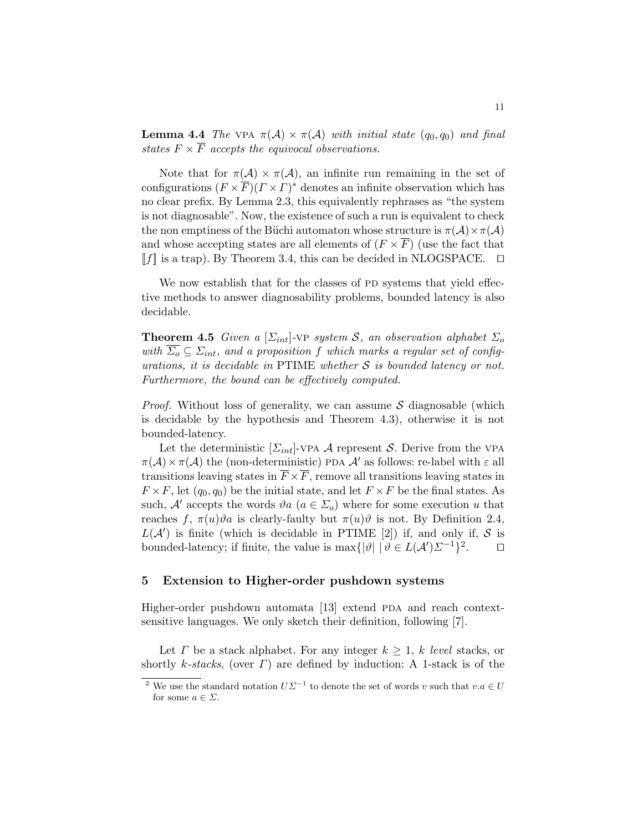**Lemma 4.4** The VPA  $\pi(\mathcal{A}) \times \pi(\mathcal{A})$  with initial state  $(q_0, q_0)$  and final states  $F \times \overline{F}$  accepts the equivocal observations.

Note that for  $\pi(\mathcal{A}) \times \pi(\mathcal{A})$ , an infinite run remaining in the set of configurations  $(F \times \overline{F})(\Gamma \times \Gamma)^*$  denotes an infinite observation which has no clear prefix. By Lemma 2.3, this equivalently rephrases as "the system is not diagnosable". Now, the existence of such a run is equivalent to check the non emptiness of the Büchi automaton whose structure is  $\pi(\mathcal{A}) \times \pi(\mathcal{A})$ and whose accepting states are all elements of  $(F \times \overline{F})$  (use the fact that [[f]] is a trap). By Theorem 3.4, this can be decided in NLOGSPACE. ⊓⊔

We now establish that for the classes of PD systems that yield effective methods to answer diagnosability problems, bounded latency is also decidable.

**Theorem 4.5** Given a  $[\Sigma_{int}]$ -vp system S, an observation alphabet  $\Sigma_o$ with  $\overline{\Sigma_o} \subseteq \Sigma_{int}$ , and a proposition f which marks a regular set of configurations, it is decidable in PTIME whether  $S$  is bounded latency or not. Furthermore, the bound can be effectively computed.

*Proof.* Without loss of generality, we can assume  $S$  diagnosable (which is decidable by the hypothesis and Theorem 4.3), otherwise it is not bounded-latency.

Let the deterministic  $[\Sigma_{int}]$ -VPA A represent S. Derive from the VPA  $\pi(\mathcal{A})\times \pi(\mathcal{A})$  the (non-deterministic) PDA  $\mathcal{A}'$  as follows: re-label with  $\varepsilon$  all transitions leaving states in  $\overline{F} \times \overline{F}$ , remove all transitions leaving states in  $F \times F$ , let  $(q_0, q_0)$  be the initial state, and let  $F \times F$  be the final states. As such, A' accepts the words  $\vartheta a$   $(a \in \Sigma_o)$  where for some execution u that reaches f,  $\pi(u)\vartheta a$  is clearly-faulty but  $\pi(u)\vartheta$  is not. By Definition 2.4,  $L(\mathcal{A}')$  is finite (which is decidable in PTIME [2]) if, and only if, S is bounded-latency; if finite, the value is  $\max\{|\vartheta| \mid \vartheta \in L(\mathcal{A}')2^{-1}\}^2$  $□$ 

#### 5 Extension to Higher-order pushdown systems

Higher-order pushdown automata [13] extend PDA and reach contextsensitive languages. We only sketch their definition, following [7].

Let  $\Gamma$  be a stack alphabet. For any integer  $k \geq 1$ , k level stacks, or shortly k-stacks, (over  $\Gamma$ ) are defined by induction: A 1-stack is of the

<sup>&</sup>lt;sup>2</sup> We use the standard notation  $U\Sigma^{-1}$  to denote the set of words v such that  $v.a \in U$ for some  $a \in \Sigma$ .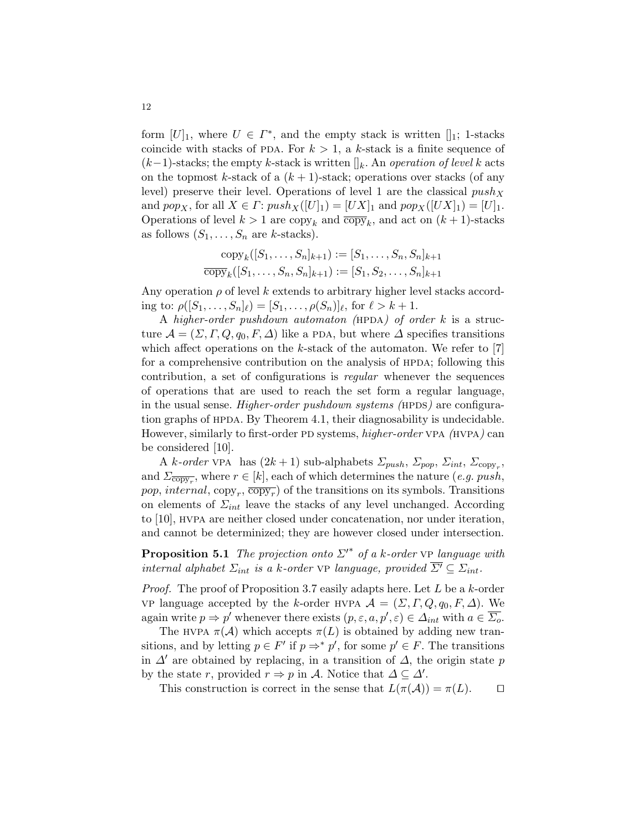form  $[U]_1$ , where  $U \in \Gamma^*$ , and the empty stack is written  $[]_1$ ; 1-stacks coincide with stacks of PDA. For  $k > 1$ , a k-stack is a finite sequence of  $(k-1)$ -stacks; the empty k-stack is written  $\vert\vert_k$ . An operation of level k acts on the topmost k-stack of a  $(k+1)$ -stack; operations over stacks (of any level) preserve their level. Operations of level 1 are the classical  $push_X$ and  $pop_X$ , for all  $X \in \Gamma$ :  $push_X([U]_1) = [UX]_1$  and  $pop_X([UX]_1) = [U]_1$ . Operations of level  $k > 1$  are  $\text{copy}_k$  and  $\overline{\text{copy}}_k$ , and act on  $(k + 1)$ -stacks as follows  $(S_1, \ldots, S_n$  are k-stacks).

$$
copy_k([S_1, ..., S_n]_{k+1}) := [S_1, ..., S_n, S_n]_{k+1}
$$
  

$$
\overline{copy}_k([S_1, ..., S_n, S_n]_{k+1}) := [S_1, S_2, ..., S_n]_{k+1}
$$

Any operation  $\rho$  of level k extends to arbitrary higher level stacks according to:  $\rho([S_1, \ldots, S_n]_{\ell}) = [S_1, \ldots, \rho(S_n)]_{\ell}$ , for  $\ell > k + 1$ .

A higher-order pushdown automaton (HPDA) of order  $k$  is a structure  $\mathcal{A} = (\Sigma, \Gamma, Q, q_0, F, \Delta)$  like a PDA, but where  $\Delta$  specifies transitions which affect operations on the k-stack of the automaton. We refer to  $[7]$ for a comprehensive contribution on the analysis of HPDA; following this contribution, a set of configurations is regular whenever the sequences of operations that are used to reach the set form a regular language, in the usual sense. *Higher-order pushdown systems* (HPDS) are configuration graphs of HPDA. By Theorem 4.1, their diagnosability is undecidable. However, similarly to first-order PD systems, *higher-order* VPA (HVPA) can be considered [10].

A k-order vpa has  $(2k+1)$  sub-alphabets  $\Sigma_{push}$ ,  $\Sigma_{pop}$ ,  $\Sigma_{int}$ ,  $\Sigma_{copy_r}$ , and  $\Sigma_{\overline{\text{copy}_r}}$ , where  $r \in [k]$ , each of which determines the nature (*e.g. push*, pop, internal,  $\text{copy}_r$ ,  $\overline{\text{copy}}_r$ ) of the transitions on its symbols. Transitions on elements of  $\Sigma_{int}$  leave the stacks of any level unchanged. According to [10], hvpa are neither closed under concatenation, nor under iteration, and cannot be determinized; they are however closed under intersection.

**Proposition 5.1** The projection onto  $\Sigma'^*$  of a k-order  $VP$  language with internal alphabet  $\Sigma_{int}$  is a k-order vp language, provided  $\overline{\Sigma'} \subseteq \Sigma_{int}$ .

*Proof.* The proof of Proposition 3.7 easily adapts here. Let  $L$  be a k-order vp language accepted by the k-order HVPA  $\mathcal{A} = (\Sigma, \Gamma, Q, q_0, F, \Delta)$ . We again write  $p \Rightarrow p'$  whenever there exists  $(p, \varepsilon, a, p', \varepsilon) \in \Delta_{int}$  with  $a \in \overline{\Sigma_o}$ .

The HVPA  $\pi(\mathcal{A})$  which accepts  $\pi(L)$  is obtained by adding new transitions, and by letting  $p \in F'$  if  $p \Rightarrow^* p'$ , for some  $p' \in F$ . The transitions in  $\Delta'$  are obtained by replacing, in a transition of  $\Delta$ , the origin state p by the state r, provided  $r \Rightarrow p$  in A. Notice that  $\Delta \subseteq \Delta'$ .

This construction is correct in the sense that  $L(\pi(\mathcal{A})) = \pi(L)$ . □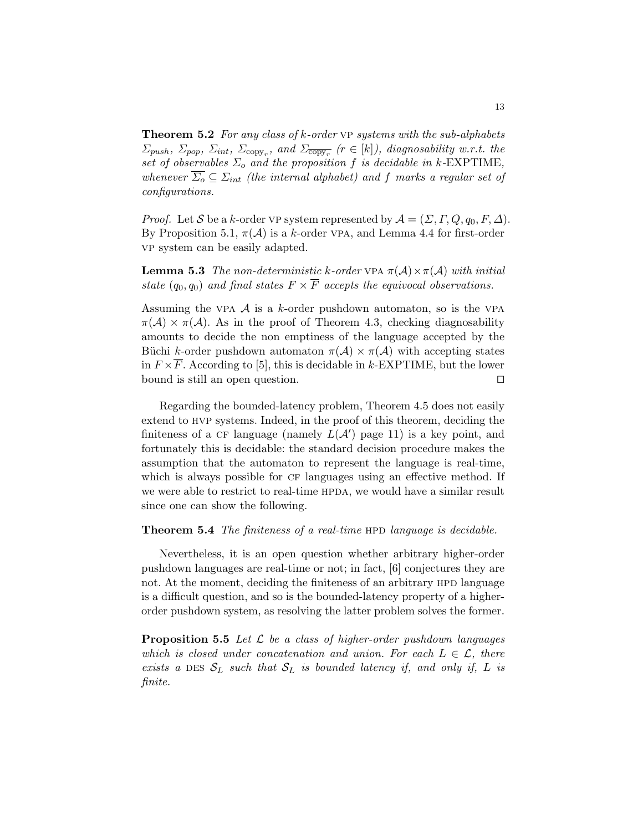**Theorem 5.2** For any class of k-order VP systems with the sub-alphabets  $\Sigma_{push}, \Sigma_{pop}, \Sigma_{int}, \Sigma_{copy_r}, \text{ and } \Sigma_{\overline{copy_r}} \ (r \in [k]), \text{ diagonal}$  is write the set of observables  $\Sigma_o$  and the proposition f is decidable in k-EXPTIME, whenever  $\overline{\Sigma_{o}} \subseteq \Sigma_{int}$  (the internal alphabet) and f marks a regular set of configurations.

*Proof.* Let S be a k-order vp system represented by  $A = (\Sigma, \Gamma, Q, q_0, F, \Delta)$ . By Proposition 5.1,  $\pi(A)$  is a k-order VPA, and Lemma 4.4 for first-order vp system can be easily adapted.

**Lemma 5.3** The non-deterministic k-order VPA  $\pi(\mathcal{A}) \times \pi(\mathcal{A})$  with initial state  $(q_0, q_0)$  and final states  $F \times \overline{F}$  accepts the equivocal observations.

Assuming the VPA  $\mathcal A$  is a k-order pushdown automaton, so is the VPA  $\pi(\mathcal{A}) \times \pi(\mathcal{A})$ . As in the proof of Theorem 4.3, checking diagnosability amounts to decide the non emptiness of the language accepted by the Büchi k-order pushdown automaton  $\pi(\mathcal{A}) \times \pi(\mathcal{A})$  with accepting states in  $F \times \overline{F}$ . According to [5], this is decidable in k-EXPTIME, but the lower bound is still an open question. ⊓⊔

Regarding the bounded-latency problem, Theorem 4.5 does not easily extend to hvp systems. Indeed, in the proof of this theorem, deciding the finiteness of a CF language (namely  $L(\mathcal{A}')$  page 11) is a key point, and fortunately this is decidable: the standard decision procedure makes the assumption that the automaton to represent the language is real-time, which is always possible for CF languages using an effective method. If we were able to restrict to real-time HPDA, we would have a similar result since one can show the following.

Theorem 5.4 The finiteness of a real-time HPD language is decidable.

Nevertheless, it is an open question whether arbitrary higher-order pushdown languages are real-time or not; in fact, [6] conjectures they are not. At the moment, deciding the finiteness of an arbitrary HPD language is a difficult question, and so is the bounded-latency property of a higherorder pushdown system, as resolving the latter problem solves the former.

**Proposition 5.5** Let  $\mathcal{L}$  be a class of higher-order pushdown languages which is closed under concatenation and union. For each  $L \in \mathcal{L}$ , there exists a DES  $S_L$  such that  $S_L$  is bounded latency if, and only if, L is finite.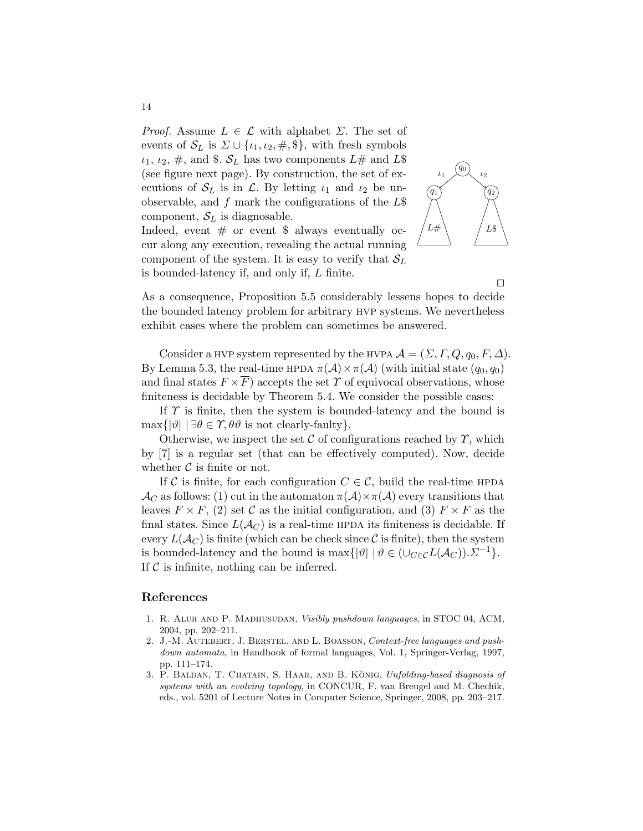*Proof.* Assume  $L \in \mathcal{L}$  with alphabet  $\Sigma$ . The set of events of  $\mathcal{S}_L$  is  $\Sigma \cup \{\iota_1, \iota_2, \#, \$\}$ , with fresh symbols  $\iota_1, \iota_2, \#$ , and \$.  $\mathcal{S}_L$  has two components  $L\#$  and  $L\$$ (see figure next page). By construction, the set of executions of  $S_L$  is in  $\mathcal{L}$ . By letting  $\iota_1$  and  $\iota_2$  be unobservable, and  $f$  mark the configurations of the  $L$ \$ component,  $S_L$  is diagnosable.

Indeed, event  $#$  or event  $\frac{1}{8}$  always eventually occur along any execution, revealing the actual running component of the system. It is easy to verify that  $S_L$ is bounded-latency if, and only if, L finite.



⊓⊔

As a consequence, Proposition 5.5 considerably lessens hopes to decide the bounded latency problem for arbitrary hvp systems. We nevertheless exhibit cases where the problem can sometimes be answered.

Consider a HVP system represented by the HVPA  $\mathcal{A} = (\Sigma, \Gamma, Q, q_0, F, \Delta)$ . By Lemma 5.3, the real-time HPDA  $\pi(\mathcal{A}) \times \pi(\mathcal{A})$  (with initial state  $(q_0, q_0)$ ) and final states  $F \times \overline{F}$ ) accepts the set  $\Upsilon$  of equivocal observations, whose finiteness is decidable by Theorem 5.4. We consider the possible cases:

If  $\Upsilon$  is finite, then the system is bounded-latency and the bound is  $\max\{|\vartheta| \mid \exists \theta \in \Upsilon, \theta \vartheta$  is not clearly-faulty}.

Otherwise, we inspect the set C of configurations reached by  $\gamma$ , which by [7] is a regular set (that can be effectively computed). Now, decide whether  $\mathcal C$  is finite or not.

If C is finite, for each configuration  $C \in \mathcal{C}$ , build the real-time HPDA  $\mathcal{A}_{C}$  as follows: (1) cut in the automaton  $\pi(\mathcal{A}) \times \pi(\mathcal{A})$  every transitions that leaves  $F \times F$ , (2) set C as the initial configuration, and (3)  $F \times F$  as the final states. Since  $L(\mathcal{A}_{C})$  is a real-time HPDA its finiteness is decidable. If every  $L(\mathcal{A}_{C})$  is finite (which can be check since C is finite), then the system is bounded-latency and the bound is max $\{|\vartheta| \mid \vartheta \in (\cup_{C \in \mathcal{C}} L(\mathcal{A}_{C})) \cdot \Sigma^{-1}\}.$ If  $\mathcal C$  is infinite, nothing can be inferred.

#### References

- 1. R. Alur and P. Madhusudan, *Visibly pushdown languages*, in STOC 04, ACM, 2004, pp. 202–211.
- 2. J.-M. Autebert, J. Berstel, and L. Boasson, *Context-free languages and pushdown automata*, in Handbook of formal languages, Vol. 1, Springer-Verlag, 1997, pp. 111–174.
- 3. P. BALDAN, T. CHATAIN, S. HAAR, AND B. KÖNIG, *Unfolding-based diagnosis of systems with an evolving topology*, in CONCUR, F. van Breugel and M. Chechik, eds., vol. 5201 of Lecture Notes in Computer Science, Springer, 2008, pp. 203–217.

14